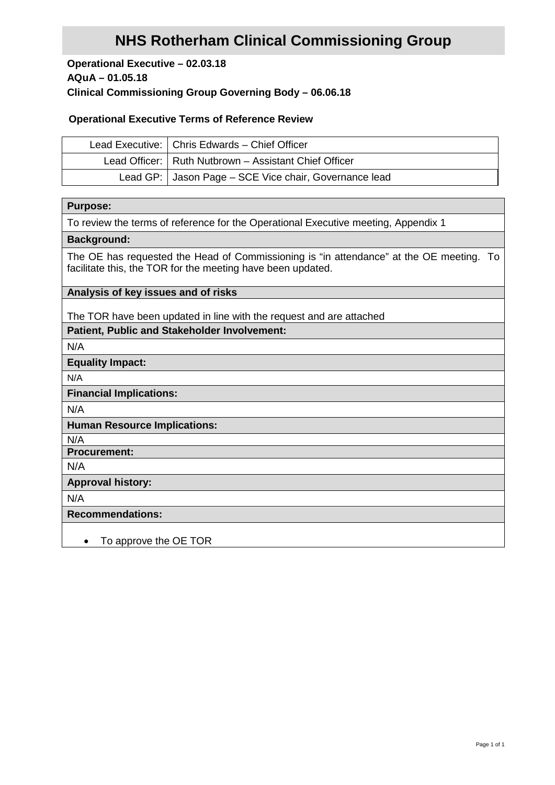# **NHS Rotherham Clinical Commissioning Group**

# **Operational Executive – 02.03.18 AQuA – 01.05.18 Clinical Commissioning Group Governing Body – 06.06.18**

# **Operational Executive Terms of Reference Review**

| Lead Executive:   Chris Edwards - Chief Officer         |  |  |
|---------------------------------------------------------|--|--|
| Lead Officer:   Ruth Nutbrown - Assistant Chief Officer |  |  |
| Lead GP:   Jason Page – SCE Vice chair, Governance lead |  |  |

#### **Purpose:**

To review the terms of reference for the Operational Executive meeting, Appendix 1

# **Background:**

The OE has requested the Head of Commissioning is "in attendance" at the OE meeting. To facilitate this, the TOR for the meeting have been updated.

# **Analysis of key issues and of risks**

The TOR have been updated in line with the request and are attached

# **Patient, Public and Stakeholder Involvement:**

N/A

# **Equality Impact:**

N/A

## **Financial Implications:**

N/A

# **Human Resource Implications:**

N/A

# **Procurement:**

N/A

# **Approval history:**

N/A

# **Recommendations:**

• To approve the OE TOR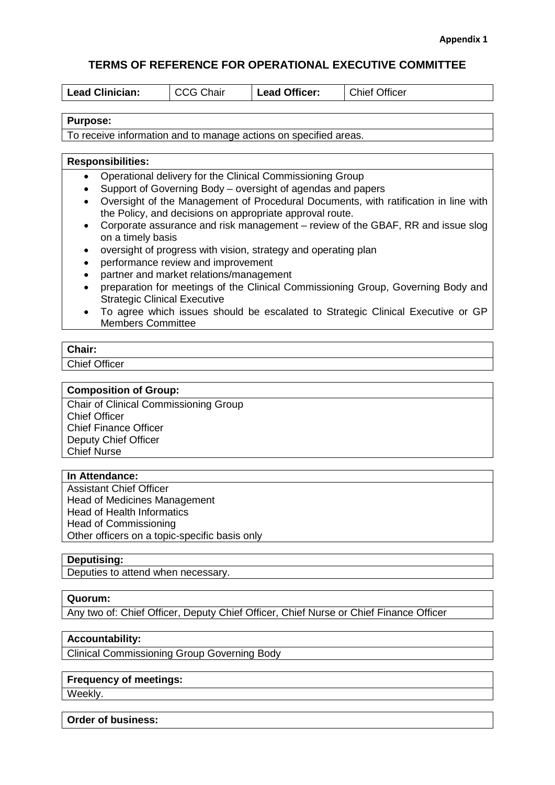# **TERMS OF REFERENCE FOR OPERATIONAL EXECUTIVE COMMITTEE**

| <b>Lead Clinician:</b> | <b>↑CG Chair</b> | <b>Lead Officer:</b> | <b>Chief Officer</b> |
|------------------------|------------------|----------------------|----------------------|
|                        |                  |                      |                      |

#### **Purpose:**

To receive information and to manage actions on specified areas.

#### **Responsibilities:**

- Operational delivery for the Clinical Commissioning Group
- Support of Governing Body oversight of agendas and papers
- Oversight of the Management of Procedural Documents, with ratification in line with the Policy, and decisions on appropriate approval route.
- Corporate assurance and risk management review of the GBAF, RR and issue slog on a timely basis
- oversight of progress with vision, strategy and operating plan
- performance review and improvement
- partner and market relations/management
- preparation for meetings of the Clinical Commissioning Group, Governing Body and Strategic Clinical Executive
- To agree which issues should be escalated to Strategic Clinical Executive or GP Members Committee

#### **Chair:**

Chief Officer

#### **Composition of Group:**

Chair of Clinical Commissioning Group Chief Officer Chief Finance Officer Deputy Chief Officer Chief Nurse

## **In Attendance:**

Assistant Chief Officer Head of Medicines Management Head of Health Informatics Head of Commissioning Other officers on a topic-specific basis only

## **Deputising:**

Deputies to attend when necessary.

# **Quorum:**

Any two of: Chief Officer, Deputy Chief Officer, Chief Nurse or Chief Finance Officer

# **Accountability:**

Clinical Commissioning Group Governing Body

# **Frequency of meetings:**

Weekly.

#### **Order of business:**